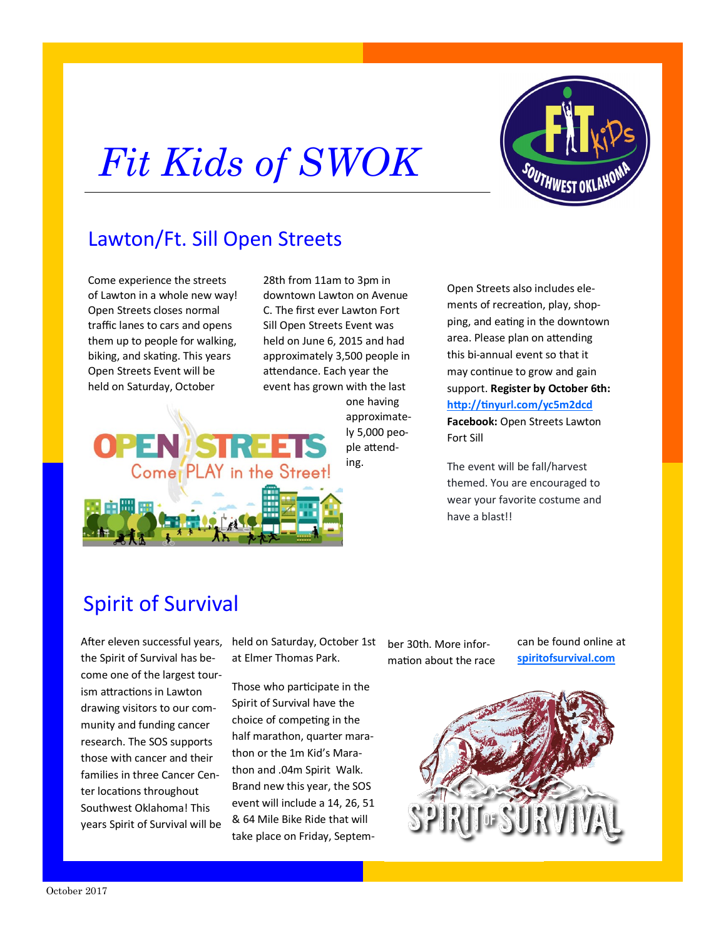## *Fit Kids of SWOK*



## Lawton/Ft. Sill Open Streets

Come experience the streets of Lawton in a whole new way! Open Streets closes normal traffic lanes to cars and opens them up to people for walking, biking, and skating. This years Open Streets Event will be held on Saturday, October

28th from 11am to 3pm in downtown Lawton on Avenue C. The first ever Lawton Fort Sill Open Streets Event was held on June 6, 2015 and had approximately 3,500 people in attendance. Each year the event has grown with the last one having



Open Streets also includes elements of recreation, play, shopping, and eating in the downtown area. Please plan on attending this bi-annual event so that it may continue to grow and gain support. **Register by October 6th: <http://tinyurl.com/yc5m2dcd> Facebook:** Open Streets Lawton Fort Sill

The event will be fall/harvest themed. You are encouraged to wear your favorite costume and have a blast!!

## Spirit of Survival

the Spirit of Survival has become one of the largest tourism attractions in Lawton drawing visitors to our community and funding cancer research. The SOS supports those with cancer and their families in three Cancer Center locations throughout Southwest Oklahoma! This years Spirit of Survival will be

After eleven successful years, held on Saturday, October 1st ber 30th. More inforat Elmer Thomas Park.

> Those who participate in the Spirit of Survival have the choice of competing in the half marathon, quarter marathon or the 1m Kid's Marathon and .04m Spirit Walk. Brand new this year, the SOS event will include a 14, 26, 51 & 64 Mile Bike Ride that will take place on Friday, Septem

mation about the race

can be found online at **[spiritofsurvival.com](http://spiritofsurvival.com/)**